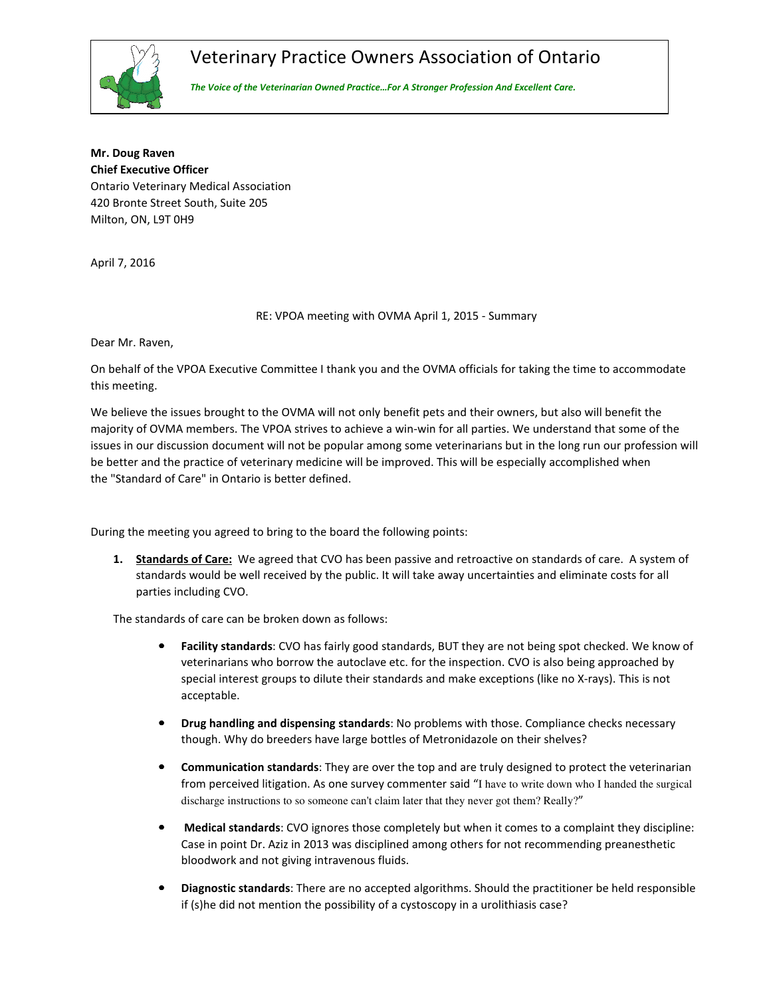

## Veterinary Practice Owners Association of Ontario

*The Voice of the Veterinarian Owned Practice…For A Stronger Profession And Excellent Care.*

**Mr. Doug Raven Chief Executive Officer**  Ontario Veterinary Medical Association 420 Bronte Street South, Suite 205 Milton, ON, L9T 0H9

April 7, 2016

RE: VPOA meeting with OVMA April 1, 2015 - Summary

Dear Mr. Raven,

On behalf of the VPOA Executive Committee I thank you and the OVMA officials for taking the time to accommodate this meeting.

We believe the issues brought to the OVMA will not only benefit pets and their owners, but also will benefit the majority of OVMA members. The VPOA strives to achieve a win-win for all parties. We understand that some of the issues in our discussion document will not be popular among some veterinarians but in the long run our profession will be better and the practice of veterinary medicine will be improved. This will be especially accomplished when the "Standard of Care" in Ontario is better defined.

During the meeting you agreed to bring to the board the following points:

**1. Standards of Care:** We agreed that CVO has been passive and retroactive on standards of care. A system of standards would be well received by the public. It will take away uncertainties and eliminate costs for all parties including CVO.

The standards of care can be broken down as follows:

- **Facility standards**: CVO has fairly good standards, BUT they are not being spot checked. We know of veterinarians who borrow the autoclave etc. for the inspection. CVO is also being approached by special interest groups to dilute their standards and make exceptions (like no X-rays). This is not acceptable.
- **Drug handling and dispensing standards**: No problems with those. Compliance checks necessary though. Why do breeders have large bottles of Metronidazole on their shelves?
- **Communication standards**: They are over the top and are truly designed to protect the veterinarian from perceived litigation. As one survey commenter said "I have to write down who I handed the surgical discharge instructions to so someone can't claim later that they never got them? Really?"
- **Medical standards**: CVO ignores those completely but when it comes to a complaint they discipline: Case in point Dr. Aziz in 2013 was disciplined among others for not recommending preanesthetic bloodwork and not giving intravenous fluids.
- **Diagnostic standards**: There are no accepted algorithms. Should the practitioner be held responsible if (s)he did not mention the possibility of a cystoscopy in a urolithiasis case?